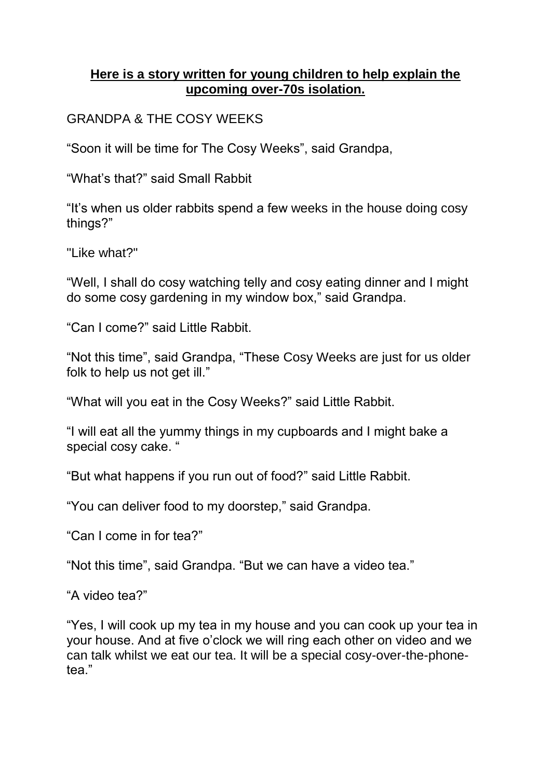## **Here is a story written for young children to help explain the upcoming over-70s isolation.**

## GRANDPA & THE COSY WEEKS

"Soon it will be time for The Cosy Weeks", said Grandpa,

"What's that?" said Small Rabbit

"It's when us older rabbits spend a few weeks in the house doing cosy things?"

"Like what?"

"Well, I shall do cosy watching telly and cosy eating dinner and I might do some cosy gardening in my window box," said Grandpa.

"Can I come?" said Little Rabbit.

"Not this time", said Grandpa, "These Cosy Weeks are just for us older folk to help us not get ill."

"What will you eat in the Cosy Weeks?" said Little Rabbit.

"I will eat all the yummy things in my cupboards and I might bake a special cosy cake. "

"But what happens if you run out of food?" said Little Rabbit.

"You can deliver food to my doorstep," said Grandpa.

"Can I come in for tea?"

"Not this time", said Grandpa. "But we can have a video tea."

"A video tea?"

"Yes, I will cook up my tea in my house and you can cook up your tea in your house. And at five o'clock we will ring each other on video and we can talk whilst we eat our tea. It will be a special cosy-over-the-phonetea"